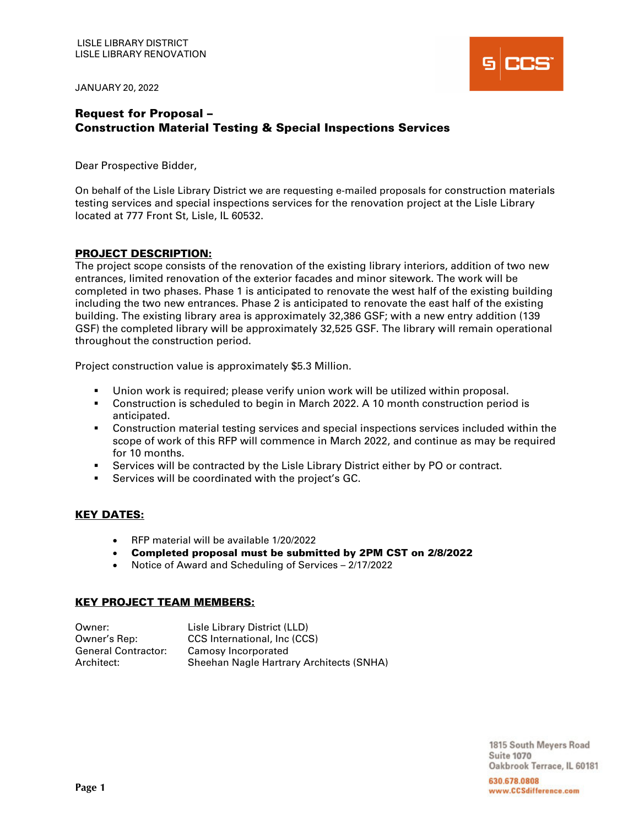JANUARY 20, 2022



# Request for Proposal – Construction Material Testing & Special Inspections Services

Dear Prospective Bidder,

On behalf of the Lisle Library District we are requesting e-mailed proposals for construction materials testing services and special inspections services for the renovation project at the Lisle Library located at 777 Front St, Lisle, IL 60532.

## PROJECT DESCRIPTION:

The project scope consists of the renovation of the existing library interiors, addition of two new entrances, limited renovation of the exterior facades and minor sitework. The work will be completed in two phases. Phase 1 is anticipated to renovate the west half of the existing building including the two new entrances. Phase 2 is anticipated to renovate the east half of the existing building. The existing library area is approximately 32,386 GSF; with a new entry addition (139 GSF) the completed library will be approximately 32,525 GSF. The library will remain operational throughout the construction period.

Project construction value is approximately \$5.3 Million.

- Union work is required; please verify union work will be utilized within proposal.
- Construction is scheduled to begin in March 2022. A 10 month construction period is anticipated.
- Construction material testing services and special inspections services included within the scope of work of this RFP will commence in March 2022, and continue as may be required for 10 months.
- Services will be contracted by the Lisle Library District either by PO or contract.
- Services will be coordinated with the project's GC.

## KEY DATES:

- RFP material will be available 1/20/2022
- Completed proposal must be submitted by 2PM CST on 2/8/2022
- Notice of Award and Scheduling of Services 2/17/2022

#### KEY PROJECT TEAM MEMBERS:

| Owner:                     | Lisle Library District (LLD)             |
|----------------------------|------------------------------------------|
| Owner's Rep:               | CCS International, Inc (CCS)             |
| <b>General Contractor:</b> | Camosy Incorporated                      |
| Architect:                 | Sheehan Nagle Hartrary Architects (SNHA) |

1815 South Meyers Road **Suite 1070** Oakbrook Terrace, IL 60181

630.678.0808 www.CCSdifference.com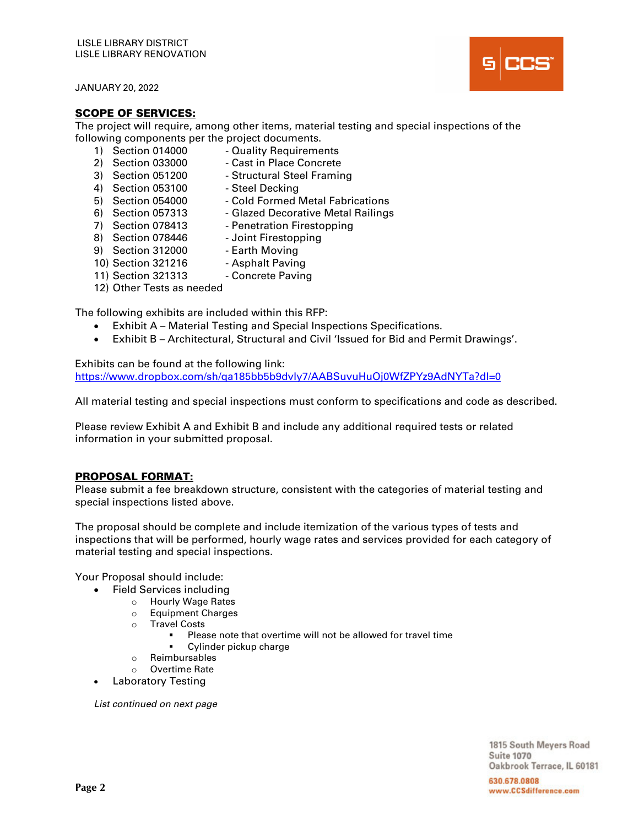JANUARY 20, 2022

## SCOPE OF SERVICES:

The project will require, among other items, material testing and special inspections of the following components per the project documents.

- 1) Section 014000 Quality Requirements
- 2) Section 033000 Cast in Place Concrete<br>3) Section 051200 Structural Steel Framin
- 
- Structural Steel Framing 4) Section 053100 - Steel Decking
- 
- 5) Section 054000 Cold Formed Metal Fabrications
- 6) Section 057313 Glazed Decorative Metal Railings<br>7) Section 078413 Penetration Firestopping
- 
- Penetration Firestopping 8) Section 078446 - Joint Firestopping
- 
- 9) Section 312000 Earth Moving
- 
- 10) Section 321216 Asphalt Paving
- 11) Section 321313 Concrete Paving
- 12) Other Tests as needed

The following exhibits are included within this RFP:

- Exhibit A Material Testing and Special Inspections Specifications.
- Exhibit B Architectural, Structural and Civil 'Issued for Bid and Permit Drawings'.

Exhibits can be found at the following link: https://www.dropbox.com/sh/qa185bb5b9dvly7/AABSuvuHuOj0WfZPYz9AdNYTa?dl=0

All material testing and special inspections must conform to specifications and code as described.

Please review Exhibit A and Exhibit B and include any additional required tests or related information in your submitted proposal.

## PROPOSAL FORMAT:

Please submit a fee breakdown structure, consistent with the categories of material testing and special inspections listed above.

The proposal should be complete and include itemization of the various types of tests and inspections that will be performed, hourly wage rates and services provided for each category of material testing and special inspections.

Your Proposal should include:

- Field Services including
	- o Hourly Wage Rates
	- o Equipment Charges
	- o Travel Costs
		- Please note that overtime will not be allowed for travel time
		- Cylinder pickup charge
	- o Reimbursables
	- o Overtime Rate
	- Laboratory Testing

List continued on next page

1815 South Meyers Road **Suite 1070** Oakbrook Terrace, IL 60181

630.678.0808 www.CCSdifference.com